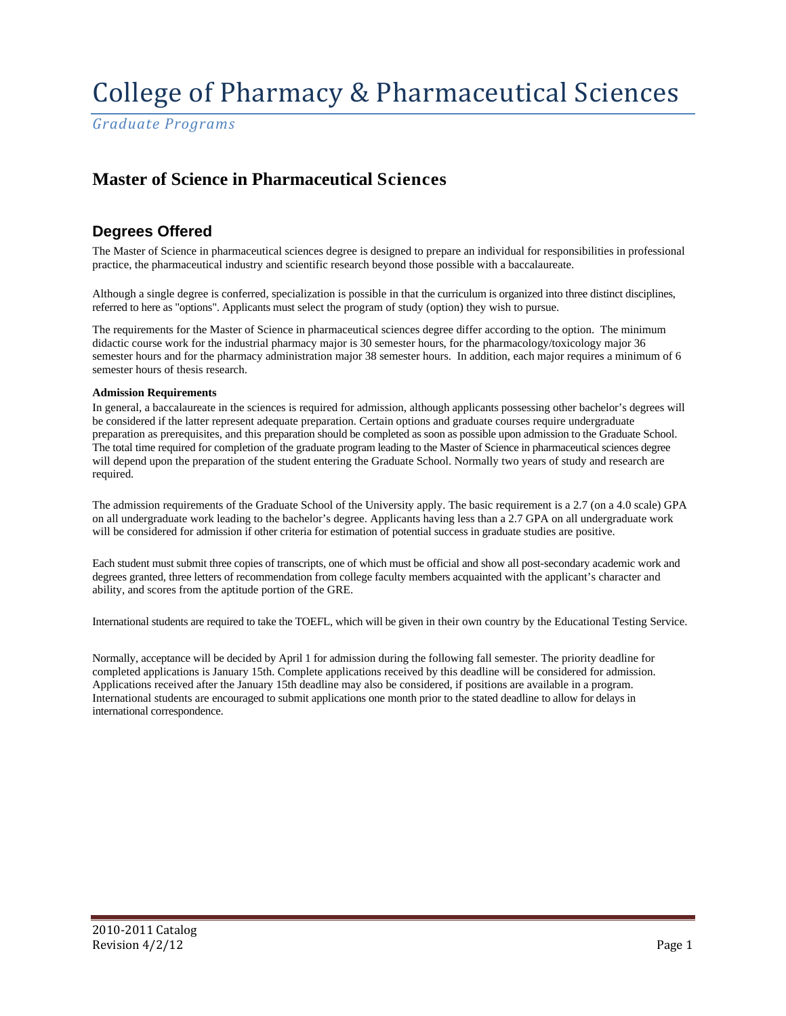*Graduate Programs*

## **Master of Science in Pharmaceutical Sciences**

## **Degrees Offered**

The Master of Science in pharmaceutical sciences degree is designed to prepare an individual for responsibilities in professional practice, the pharmaceutical industry and scientific research beyond those possible with a baccalaureate.

Although a single degree is conferred, specialization is possible in that the curriculum is organized into three distinct disciplines, referred to here as "options". Applicants must select the program of study (option) they wish to pursue.

The requirements for the Master of Science in pharmaceutical sciences degree differ according to the option. The minimum didactic course work for the industrial pharmacy major is 30 semester hours, for the pharmacology/toxicology major 36 semester hours and for the pharmacy administration major 38 semester hours. In addition, each major requires a minimum of 6 semester hours of thesis research.

#### **Admission Requirements**

In general, a baccalaureate in the sciences is required for admission, although applicants possessing other bachelor's degrees will be considered if the latter represent adequate preparation. Certain options and graduate courses require undergraduate preparation as prerequisites, and this preparation should be completed as soon as possible upon admission to the Graduate School. The total time required for completion of the graduate program leading to the Master of Science in pharmaceutical sciences degree will depend upon the preparation of the student entering the Graduate School. Normally two years of study and research are required.

The admission requirements of the Graduate School of the University apply. The basic requirement is a 2.7 (on a 4.0 scale) GPA on all undergraduate work leading to the bachelor's degree. Applicants having less than a 2.7 GPA on all undergraduate work will be considered for admission if other criteria for estimation of potential success in graduate studies are positive.

Each student must submit three copies of transcripts, one of which must be official and show all post-secondary academic work and degrees granted, three letters of recommendation from college faculty members acquainted with the applicant's character and ability, and scores from the aptitude portion of the GRE.

International students are required to take the TOEFL, which will be given in their own country by the Educational Testing Service.

Normally, acceptance will be decided by April 1 for admission during the following fall semester. The priority deadline for completed applications is January 15th. Complete applications received by this deadline will be considered for admission. Applications received after the January 15th deadline may also be considered, if positions are available in a program. International students are encouraged to submit applications one month prior to the stated deadline to allow for delays in international correspondence.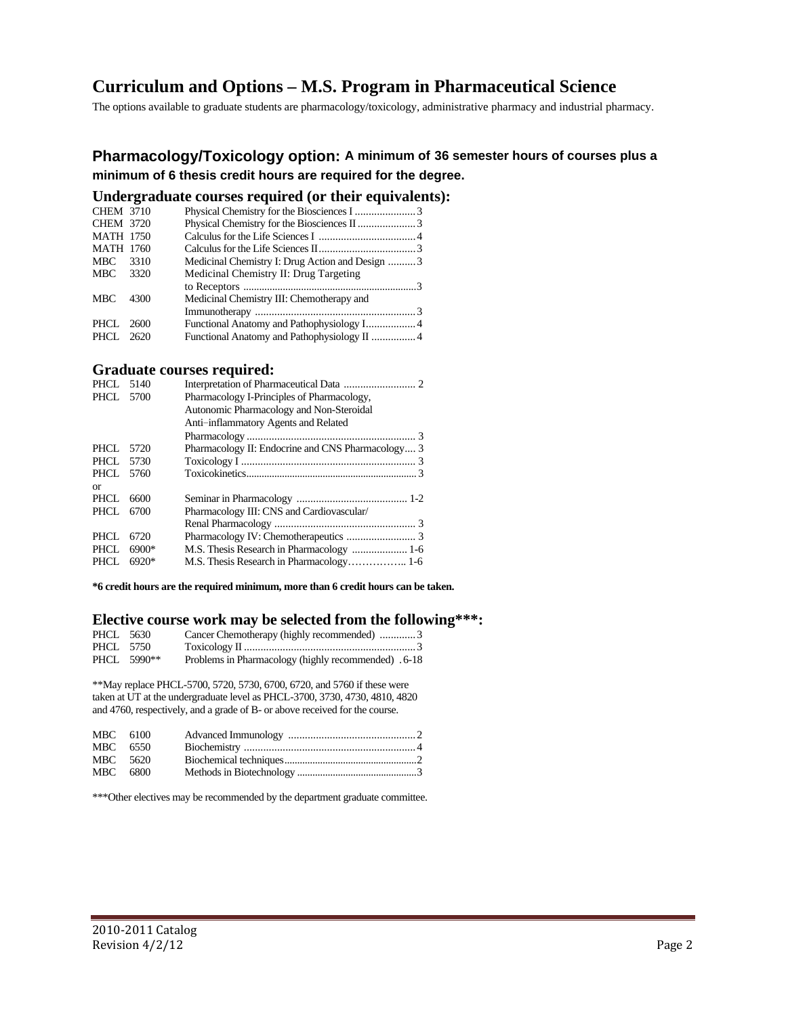## **Curriculum and Options – M.S. Program in Pharmaceutical Science**

The options available to graduate students are pharmacology/toxicology, administrative pharmacy and industrial pharmacy.

### **Pharmacology/Toxicology option: A minimum of 36 semester hours of courses plus a minimum of 6 thesis credit hours are required for the degree.**

### **Undergraduate courses required (or their equivalents):**

| <b>CHEM 3710</b> |      |                                                 |  |
|------------------|------|-------------------------------------------------|--|
| <b>CHEM 3720</b> |      |                                                 |  |
| <b>MATH 1750</b> |      |                                                 |  |
| <b>MATH 1760</b> |      |                                                 |  |
| MBC              | 3310 | Medicinal Chemistry I: Drug Action and Design 3 |  |
| MBC              | 3320 | Medicinal Chemistry II: Drug Targeting          |  |
|                  |      |                                                 |  |
| <b>MBC</b>       | 4300 | Medicinal Chemistry III: Chemotherapy and       |  |
|                  |      |                                                 |  |
| PHCL             | 2600 |                                                 |  |
| PHCL 2620        |      |                                                 |  |
|                  |      |                                                 |  |

### **Graduate courses required:**

| PHCL      | 5140    |                                                   |
|-----------|---------|---------------------------------------------------|
| PHCL 5700 |         | Pharmacology I-Principles of Pharmacology,        |
|           |         | Autonomic Pharmacology and Non-Steroidal          |
|           |         | Anti-inflammatory Agents and Related              |
|           |         |                                                   |
| PHCL      | 5720    | Pharmacology II: Endocrine and CNS Pharmacology 3 |
| PHCL      | 5730    |                                                   |
| PHCL 5760 |         |                                                   |
| or        |         |                                                   |
| PHCL      | 6600    |                                                   |
| PHCL      | 6700    | Pharmacology III: CNS and Cardiovascular/         |
|           |         |                                                   |
| PHCL      | 6720    |                                                   |
| PHCL.     | $6900*$ | M.S. Thesis Research in Pharmacology  1-6         |
| PHCL.     | $6920*$ |                                                   |

**\*6 credit hours are the required minimum, more than 6 credit hours can be taken.**

#### **Elective course work may be selected from the following\*\*\*:**

| PHCL 5630 |             | Cancer Chemotherapy (highly recommended) 3          |  |
|-----------|-------------|-----------------------------------------------------|--|
| PHCL 5750 |             |                                                     |  |
|           | PHCL 5990** | Problems in Pharmacology (highly recommended) .6-18 |  |

\*\*May replace PHCL-5700, 5720, 5730, 6700, 6720, and 5760 if these were taken at UT at the undergraduate level as PHCL-3700, 3730, 4730, 4810, 4820 and 4760, respectively, and a grade of B- or above received for the course.

| MBC 6100 |  |  |
|----------|--|--|
| MBC 6550 |  |  |
| MBC 5620 |  |  |
| MBC 6800 |  |  |

\*\*\*Other electives may be recommended by the department graduate committee.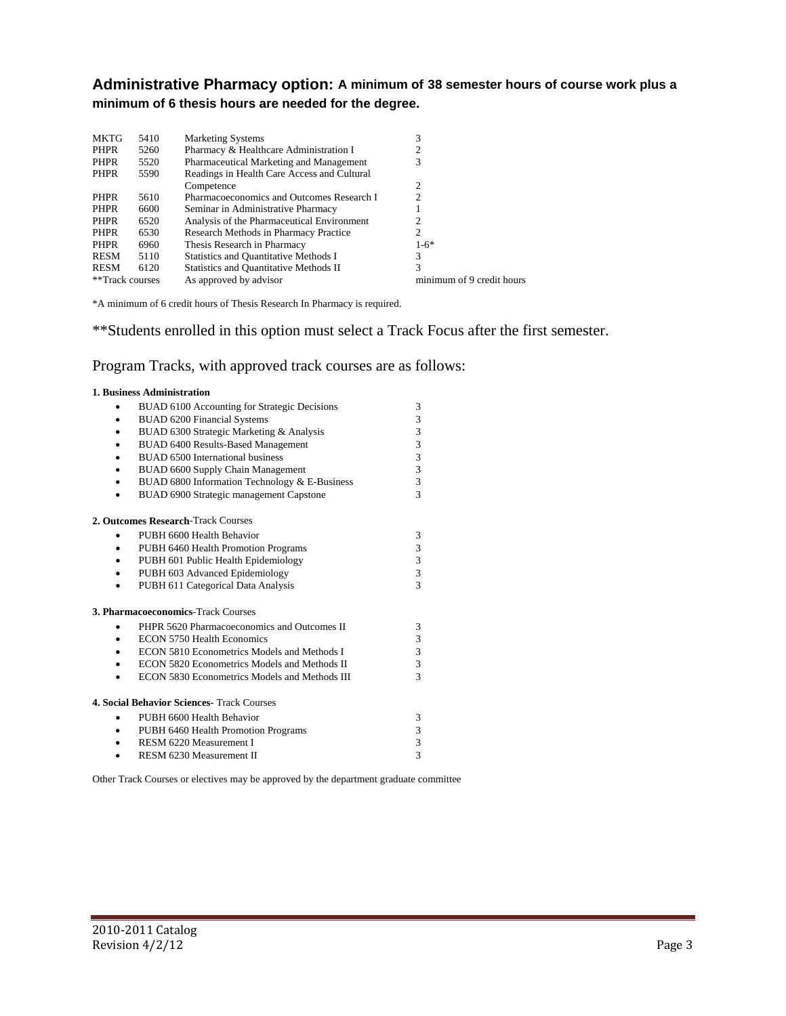**Administrative Pharmacy option: A minimum of 38 semester hours of course work plus a minimum of 6 thesis hours are needed for the degree.**

| <b>MKTG</b>     | 5410 | <b>Marketing Systems</b>                      | 3                         |
|-----------------|------|-----------------------------------------------|---------------------------|
| <b>PHPR</b>     | 5260 | Pharmacy & Healthcare Administration I        |                           |
| <b>PHPR</b>     | 5520 | Pharmaceutical Marketing and Management       | 3                         |
| <b>PHPR</b>     | 5590 | Readings in Health Care Access and Cultural   |                           |
|                 |      | Competence                                    | 2                         |
| <b>PHPR</b>     | 5610 | Pharmacoeconomics and Outcomes Research I     | っ                         |
| <b>PHPR</b>     | 6600 | Seminar in Administrative Pharmacy            |                           |
| PHPR            | 6520 | Analysis of the Pharmaceutical Environment    |                           |
| PHPR            | 6530 | Research Methods in Pharmacy Practice         |                           |
| PHPR            | 6960 | Thesis Research in Pharmacy                   | $1-6*$                    |
| <b>RESM</b>     | 5110 | Statistics and Quantitative Methods I         | 3                         |
| <b>RESM</b>     | 6120 | <b>Statistics and Quantitative Methods II</b> |                           |
| **Track courses |      | As approved by advisor                        | minimum of 9 credit hours |

\*A minimum of 6 credit hours of Thesis Research In Pharmacy is required.

\*\*Students enrolled in this option must select a Track Focus after the first semester.

### Program Tracks, with approved track courses are as follows:

|           | 1. Business Administration                        |                         |
|-----------|---------------------------------------------------|-------------------------|
|           | BUAD 6100 Accounting for Strategic Decisions      | 3                       |
|           | <b>BUAD 6200 Financial Systems</b>                | 3                       |
|           | BUAD 6300 Strategic Marketing & Analysis          | 3                       |
|           | BUAD 6400 Results-Based Management                | 3                       |
|           | BUAD 6500 International business                  | 3                       |
|           | BUAD 6600 Supply Chain Management                 | 3                       |
|           | BUAD 6800 Information Technology & E-Business     | 3                       |
| $\bullet$ | BUAD 6900 Strategic management Capstone           | $\mathcal{R}$           |
|           | 2. Outcomes Research-Track Courses                |                         |
| $\bullet$ | PUBH 6600 Health Behavior                         | 3                       |
| $\bullet$ | PUBH 6460 Health Promotion Programs               | 3                       |
|           | PUBH 601 Public Health Epidemiology               | 3                       |
|           | PUBH 603 Advanced Epidemiology                    | $\overline{\mathbf{3}}$ |
|           | PUBH 611 Categorical Data Analysis                | 3                       |
|           | 3. Pharmacoeconomics-Track Courses                |                         |
| ٠         | PHPR 5620 Pharmacoeconomics and Outcomes II       | 3                       |
| $\bullet$ | <b>ECON 5750 Health Economics</b>                 | 3                       |
| $\bullet$ | ECON 5810 Econometrics Models and Methods I       | 3                       |
| $\bullet$ | ECON 5820 Econometrics Models and Methods II      | 3                       |
|           | ECON 5830 Econometrics Models and Methods III     | $\mathcal{R}$           |
|           | <b>4. Social Behavior Sciences- Track Courses</b> |                         |
| ٠         | PUBH 6600 Health Behavior                         | 3                       |
| ٠         | PUBH 6460 Health Promotion Programs               | 3                       |
|           | RESM 6220 Measurement I                           | 3                       |
|           | RESM 6230 Measurement II                          | 3                       |

Other Track Courses or electives may be approved by the department graduate committee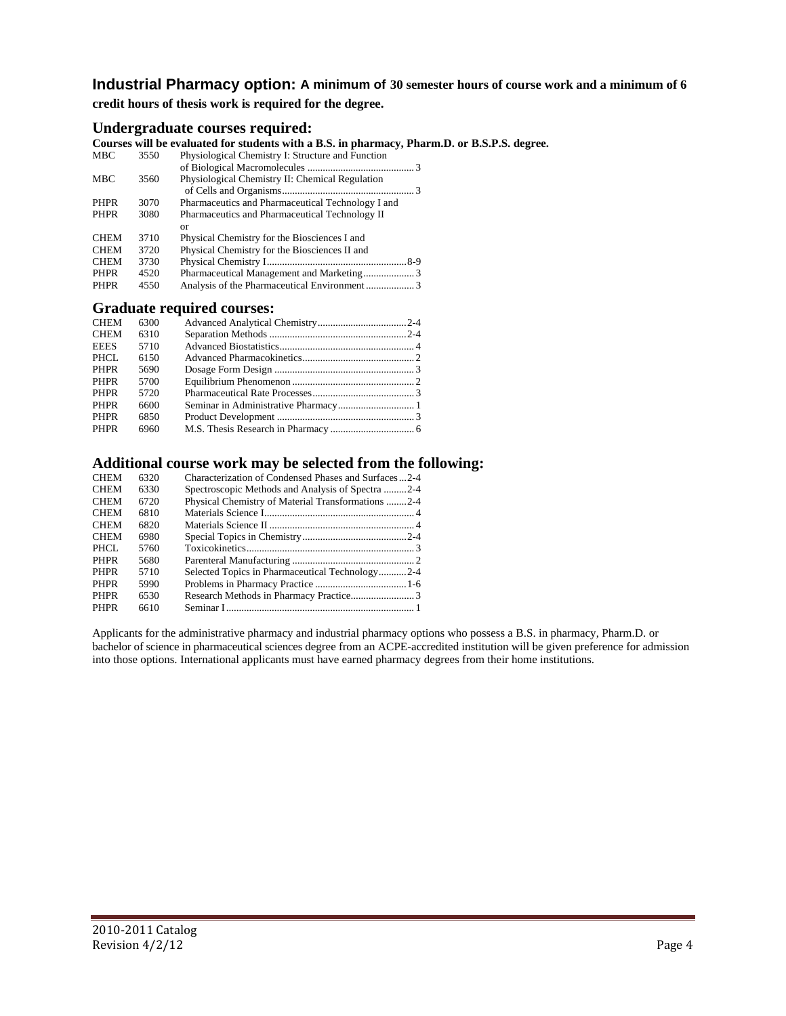## **Industrial Pharmacy option: A minimum of 30 semester hours of course work and a minimum of 6**

**credit hours of thesis work is required for the degree.**

### **Undergraduate courses required:**

**Courses will be evaluated for students with a B.S. in pharmacy, Pharm.D. or B.S.P.S. degree.**

|             |      | Courses will be evaluated for students with a D.S. In pharmacy, I ha |
|-------------|------|----------------------------------------------------------------------|
| <b>MBC</b>  | 3550 | Physiological Chemistry I: Structure and Function                    |
|             |      |                                                                      |
| <b>MBC</b>  | 3560 | Physiological Chemistry II: Chemical Regulation                      |
|             |      |                                                                      |
| <b>PHPR</b> | 3070 | Pharmaceutics and Pharmaceutical Technology I and                    |
| <b>PHPR</b> | 3080 | Pharmaceutics and Pharmaceutical Technology II                       |
|             |      | or                                                                   |
| <b>CHEM</b> | 3710 | Physical Chemistry for the Biosciences I and                         |
| <b>CHEM</b> | 3720 | Physical Chemistry for the Biosciences II and                        |
| <b>CHEM</b> | 3730 |                                                                      |
| <b>PHPR</b> | 4520 |                                                                      |
| <b>PHPR</b> | 4550 |                                                                      |
|             |      |                                                                      |

#### **Graduate required courses:**

| <b>CHEM</b> | 6300 |  |
|-------------|------|--|
| <b>CHEM</b> | 6310 |  |
| <b>EEES</b> | 5710 |  |
| PHCL        | 6150 |  |
| PHPR        | 5690 |  |
| PHPR        | 5700 |  |
| PHPR        | 5720 |  |
| PHPR        | 6600 |  |
| PHPR        | 6850 |  |
| PHPR        | 6960 |  |
|             |      |  |

### **Additional course work may be selected from the following:**

| 6320 | Characterization of Condensed Phases and Surfaces2-4 |
|------|------------------------------------------------------|
| 6330 | Spectroscopic Methods and Analysis of Spectra 2-4    |
| 6720 | Physical Chemistry of Material Transformations 2-4   |
| 6810 |                                                      |
| 6820 |                                                      |
| 6980 |                                                      |
| 5760 |                                                      |
| 5680 |                                                      |
| 5710 | Selected Topics in Pharmaceutical Technology2-4      |
| 5990 |                                                      |
| 6530 |                                                      |
| 6610 |                                                      |
|      |                                                      |

Applicants for the administrative pharmacy and industrial pharmacy options who possess a B.S. in pharmacy, Pharm.D. or bachelor of science in pharmaceutical sciences degree from an ACPE-accredited institution will be given preference for admission into those options. International applicants must have earned pharmacy degrees from their home institutions.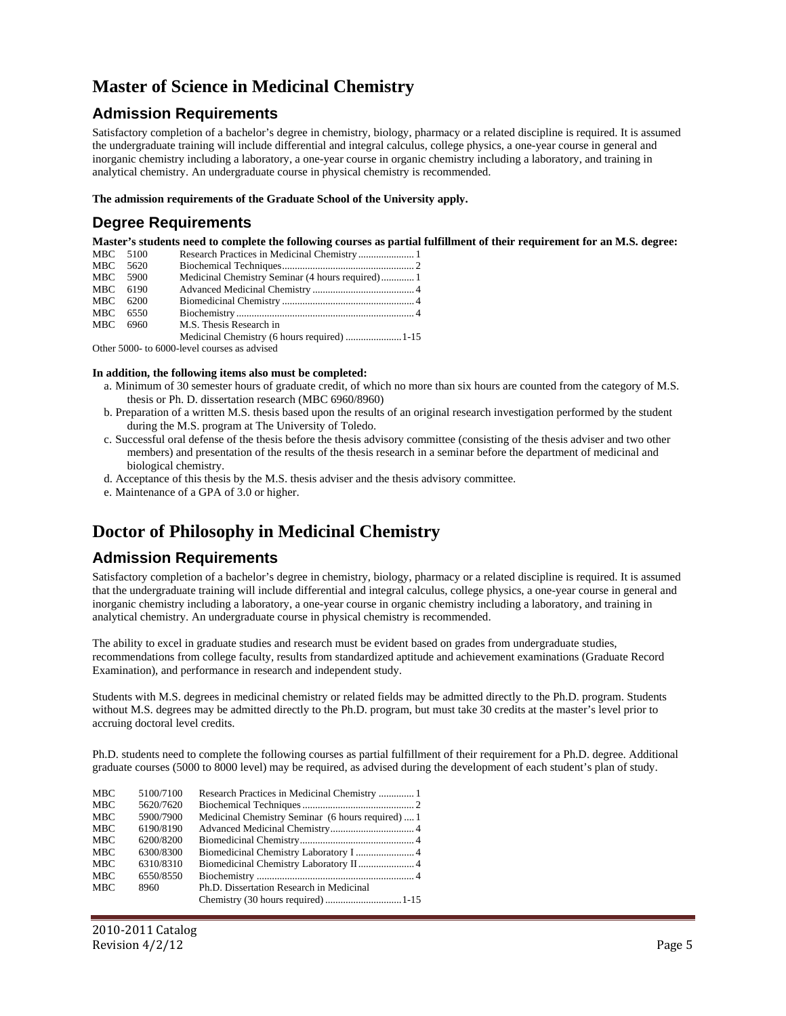## **Master of Science in Medicinal Chemistry**

### **Admission Requirements**

Satisfactory completion of a bachelor's degree in chemistry, biology, pharmacy or a related discipline is required. It is assumed the undergraduate training will include differential and integral calculus, college physics, a one-year course in general and inorganic chemistry including a laboratory, a one-year course in organic chemistry including a laboratory, and training in analytical chemistry. An undergraduate course in physical chemistry is recommended.

**The admission requirements of the Graduate School of the University apply.**

### **Degree Requirements**

**Master's students need to complete the following courses as partial fulfillment of their requirement for an M.S. degree:**

| MBC 5100 |                         |  |
|----------|-------------------------|--|
| MBC 5620 |                         |  |
| MBC 5900 |                         |  |
| MBC 6190 |                         |  |
| MBC 6200 |                         |  |
| MBC 6550 |                         |  |
| MBC 6960 | M.S. Thesis Research in |  |
|          |                         |  |

Other 5000- to 6000-level courses as advised

#### **In addition, the following items also must be completed:**

- a. Minimum of 30 semester hours of graduate credit, of which no more than six hours are counted from the category of M.S. thesis or Ph. D. dissertation research (MBC 6960/8960)
- b. Preparation of a written M.S. thesis based upon the results of an original research investigation performed by the student during the M.S. program at The University of Toledo.
- c. Successful oral defense of the thesis before the thesis advisory committee (consisting of the thesis adviser and two other members) and presentation of the results of the thesis research in a seminar before the department of medicinal and biological chemistry.
- d. Acceptance of this thesis by the M.S. thesis adviser and the thesis advisory committee.
- e. Maintenance of a GPA of 3.0 or higher.

## **Doctor of Philosophy in Medicinal Chemistry**

### **Admission Requirements**

Satisfactory completion of a bachelor's degree in chemistry, biology, pharmacy or a related discipline is required. It is assumed that the undergraduate training will include differential and integral calculus, college physics, a one-year course in general and inorganic chemistry including a laboratory, a one-year course in organic chemistry including a laboratory, and training in analytical chemistry. An undergraduate course in physical chemistry is recommended.

The ability to excel in graduate studies and research must be evident based on grades from undergraduate studies, recommendations from college faculty, results from standardized aptitude and achievement examinations (Graduate Record Examination), and performance in research and independent study.

Students with M.S. degrees in medicinal chemistry or related fields may be admitted directly to the Ph.D. program. Students without M.S. degrees may be admitted directly to the Ph.D. program, but must take 30 credits at the master's level prior to accruing doctoral level credits.

Ph.D. students need to complete the following courses as partial fulfillment of their requirement for a Ph.D. degree. Additional graduate courses (5000 to 8000 level) may be required, as advised during the development of each student's plan of study.

| <b>MBC</b>                                                   | 5100/7100                           |                                                   |
|--------------------------------------------------------------|-------------------------------------|---------------------------------------------------|
| <b>MBC</b>                                                   | 5620/7620                           |                                                   |
| <b>MBC</b>                                                   | 5900/7900                           | Medicinal Chemistry Seminar (6 hours required)  1 |
| <b>MBC</b>                                                   | 6190/8190                           |                                                   |
| <b>MBC</b>                                                   | 6200/8200                           |                                                   |
| <b>MBC</b><br><b>MBC</b><br><b>MBC</b><br><b>MBC</b><br>8960 | 6300/8300<br>6310/8310<br>6550/8550 | Ph.D. Dissertation Research in Medicinal          |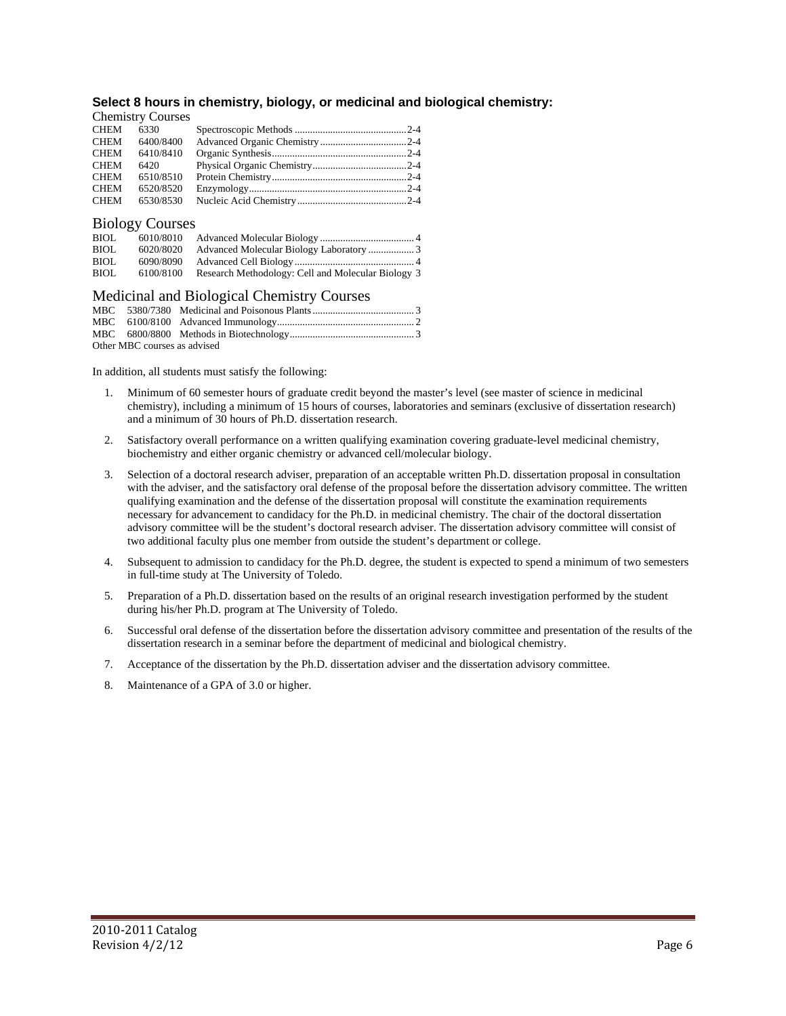#### **Select 8 hours in chemistry, biology, or medicinal and biological chemistry:**

|             | <b>Chemistry Courses</b> |  |
|-------------|--------------------------|--|
| CHEM        | 6330                     |  |
| CHEM        | 6400/8400                |  |
| CHEM        | 6410/8410                |  |
| CHEM        | 6420                     |  |
| <b>CHEM</b> | 6510/8510                |  |
| CHEM        | 6520/8520                |  |
| CHEM        | 6530/8530                |  |
|             |                          |  |

### Biology Courses

| BIOL | 6010/8010 |                                                    |  |
|------|-----------|----------------------------------------------------|--|
| BIOL | 6020/8020 |                                                    |  |
| BIOL | 6090/8090 |                                                    |  |
| BIOL | 6100/8100 | Research Methodology: Cell and Molecular Biology 3 |  |

### Medicinal and Biological Chemistry Courses

| Other MBC courses as advised |  |  |  |  |  |
|------------------------------|--|--|--|--|--|

In addition, all students must satisfy the following:

- 1. Minimum of 60 semester hours of graduate credit beyond the master's level (see master of science in medicinal chemistry), including a minimum of 15 hours of courses, laboratories and seminars (exclusive of dissertation research) and a minimum of 30 hours of Ph.D. dissertation research.
- 2. Satisfactory overall performance on a written qualifying examination covering graduate-level medicinal chemistry, biochemistry and either organic chemistry or advanced cell/molecular biology.
- 3. Selection of a doctoral research adviser, preparation of an acceptable written Ph.D. dissertation proposal in consultation with the adviser, and the satisfactory oral defense of the proposal before the dissertation advisory committee. The written qualifying examination and the defense of the dissertation proposal will constitute the examination requirements necessary for advancement to candidacy for the Ph.D. in medicinal chemistry. The chair of the doctoral dissertation advisory committee will be the student's doctoral research adviser. The dissertation advisory committee will consist of two additional faculty plus one member from outside the student's department or college.
- 4. Subsequent to admission to candidacy for the Ph.D. degree, the student is expected to spend a minimum of two semesters in full-time study at The University of Toledo.
- 5. Preparation of a Ph.D. dissertation based on the results of an original research investigation performed by the student during his/her Ph.D. program at The University of Toledo.
- 6. Successful oral defense of the dissertation before the dissertation advisory committee and presentation of the results of the dissertation research in a seminar before the department of medicinal and biological chemistry.
- 7. Acceptance of the dissertation by the Ph.D. dissertation adviser and the dissertation advisory committee.
- 8. Maintenance of a GPA of 3.0 or higher.